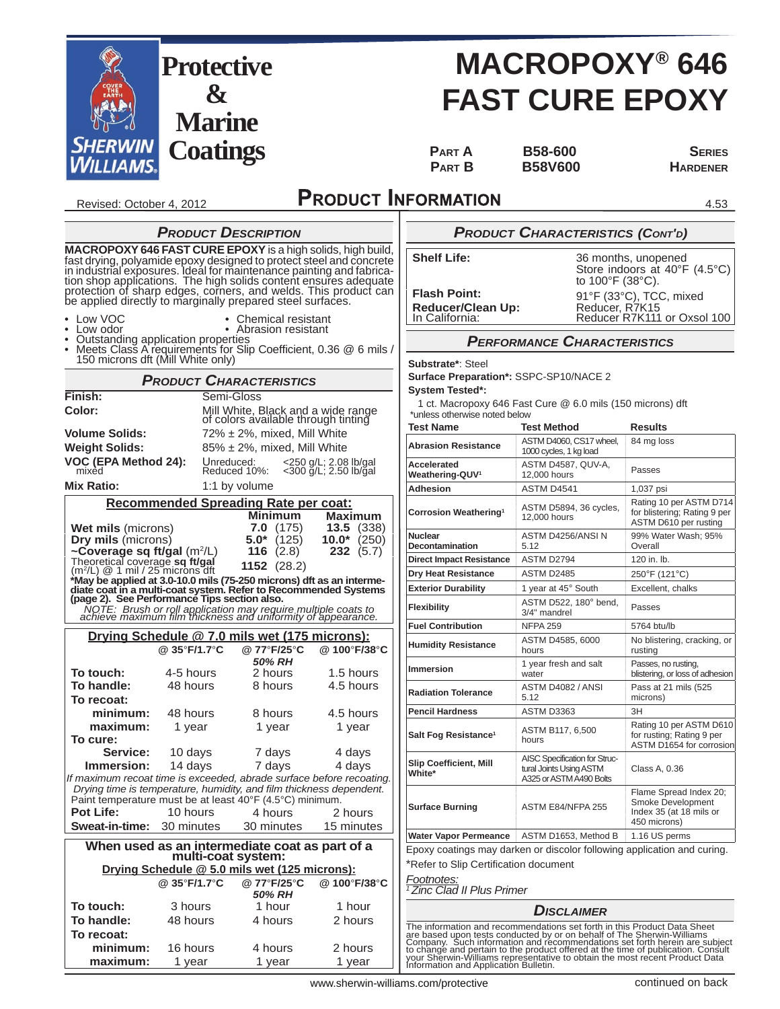

4.53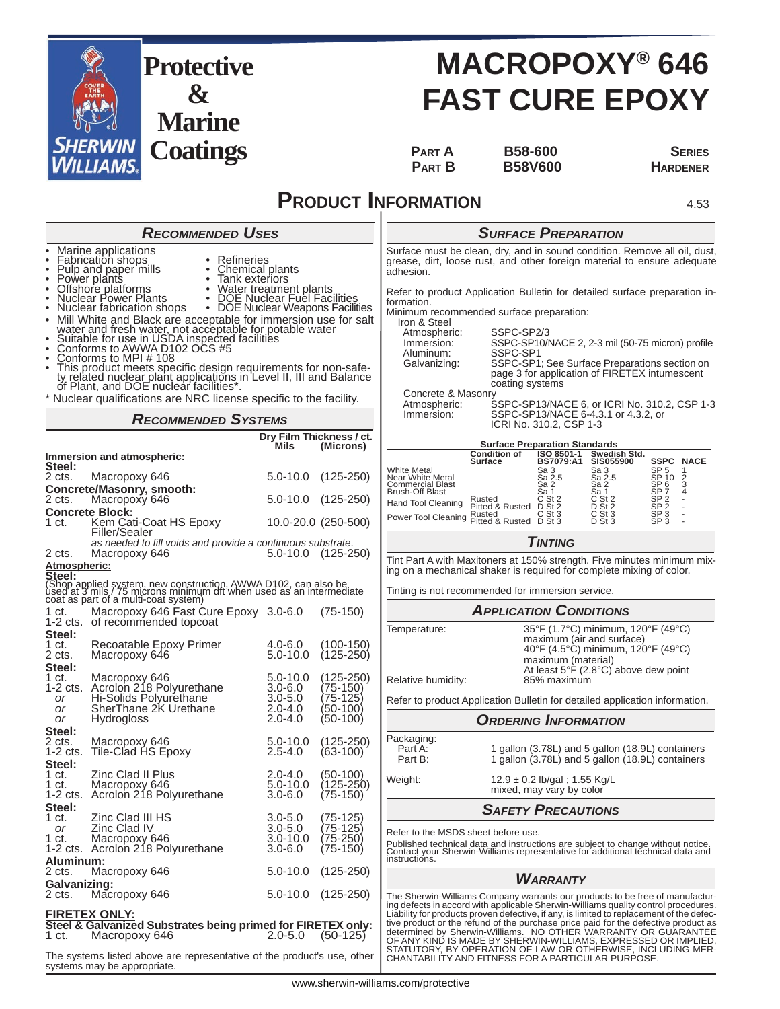

# **MACROPOXY® 646 FAST CURE EPOXY**

**PART A B58-600 SERIES PART B** B58V600 **HARDENER** 

4.53

### **PRODUCT INFORMATION**

*SURFACE PREPARATION* Surface must be clean, dry, and in sound condition. Remove all oil, dust, grease, dirt, loose rust, and other foreign material to ensure adequate adhesion. Refer to product Application Bulletin for detailed surface preparation information. Minimum recommended surface preparation: Iron & Steel<br>Atmospheric: Atmospheric: SSPC-SP2/3 Immersion: SSPC-SP10/NACE 2, 2-3 mil (50-75 micron) profile<br>Aluminum: SSPC-SP1 Galvanizing: SSPC-SP1; See Surface Preparations section on page 3 for application of FIRETEX intumescent coating systems Concrete & Masonry<br>Atmospheric: S Atmospheric: SSPC-SP13/NACE 6, or ICRI No. 310.2, CSP 1-3 Immersion: SSPC-SP13/NACE 6-4.3.1 or 4.3.2, or ICRI No. 310.2, CSP 1-3 **Surface Preparation Standards Condition of Surface ISO 8501-1 BS7079:A1** Swedish Std.<br>SIS055900 **SIS055900 SSPC NACE**<br>
Sa 2.5<br>
Sa 2.5<br>
Sa 2.5<br>
Sa 2.5<br>
Sa 2.5<br>
Sa 2.5<br>
Sa 2.5<br>
Sa 2.5<br>
Sa 2.5<br>
D Si 2.5<br>
D Sa 2.5<br>
D Sa 2.5<br>
D Sa 2.5<br>
D Sa 2.5<br>
D Sa 2.5<br>
D Sa 2.5<br>
D Sa 2.5<br>
D Sa 2.5<br>
D Sa 2.5<br>
D Sa 2.5<br>
D Sa 2.5<br>
D Sa 2. White Metal<br>Near White Metal Sa 3 Sa 2.5 Sa 3 SP 10 2<br>Commercial Blast Sa 2.5 Sa 2.5 SP 10 2<br>Brush-Off Blast Sa 1 Sa 1 SP 7 4 Hand Tool Cleaning Rusted C St 2 C St 2 SP 2 - Pitted & Rusted D St 2 D St 2 SP 2 - Power Tool Cleaning Rusted C St 3 C St 3 SP 3 -<br>Power Tool Cleaning Pitted & Rusted D St 3 D St 3 SP 3 -*TINTING* Tint Part A with Maxitoners at 150% strength. Five minutes minimum mixing on a mechanical shaker is required for complete mixing of color. Tinting is not recommended for immersion service. *APPLICATION CONDITIONS* Temperature: 35°F (1.7°C) minimum, 120°F (49°C) maximum (air and surface) 40°F (4.5°C) minimum, 120°F (49°C) maximum (material) At least 5°F (2.8°C) above dew point<br>85% maximum Relative humidity: Refer to product Application Bulletin for detailed application information. *ORDERING INFORMATION* Packaging:<br>Part A:<br>Part B: Part A: 1 gallon (3.78L) and 5 gallon (18.9L) containers Part B: 1 gallon (3.78L) and 5 gallon (18.9L) containers Weight: 12.9 ± 0.2 lb/gal ; 1.55 Kg/L mixed, may vary by color *SAFETY PRECAUTIONS* Refer to the MSDS sheet before use. *RECOMMENDED USES* • Marine applications<br>• <u>F</u>abrication shops • Pulp and paper mills • Chemical plants • Power plants • Tank exteriors • Offshore platforms • Water treatment plants • Nuclear Power Plants • DOE Nuclear Fuel Facilities • Nuclear fabrication shops • DOE Nuclear Weapons Facilities • Mill White and Black are acceptable for immersion use for salt<br>
vater and fresh water, not acceptable for potable water<br>
• Suitable for use in USDA inspected facilities<br>
• Conforms to AWWA D102 OCS #5<br>
• Conforms to MPI *RECOMMENDED SYSTEMS*

Published technical data and instructions are subject to change without notice. Contact your Sherwin-Williams representative for additional technical data and instructions.

#### *WARRANTY*

The Sherwin-Williams Company warrants our products to be free of manufactur-ing defects in accord with applicable Sherwin-Williams quality control procedures. Liability for products proven defective, if any, is limited to replacement of the defective product or the refund of the purchase price paid for the defective product as<br>determined by Sherwin-Williams. NO OTHER WARRANTY OR GUARANTEE<br>OF ANY KIND IS MADE BY SHERWIN-WILLIAMS, EXPRESSED OR IMPLIED,<br>STATUTORY, B CHANTABILITY AND FITNESS FOR A PARTICULAR PURPOSE.

- 
- 

\* Nuclear qualifications are NRC license specific to the facility.

**&**

**Marine**

|                     |                                                                                                                                                                                          | Dry Film Thickness / ct.<br><u>Mils</u> | (Microns)                  |
|---------------------|------------------------------------------------------------------------------------------------------------------------------------------------------------------------------------------|-----------------------------------------|----------------------------|
| Steel:              | <b>Immersion and atmospheric:</b>                                                                                                                                                        |                                         |                            |
| 2 cts.              | Macropoxy 646                                                                                                                                                                            | $5.0 - 10.0$                            | $(125 - 250)$              |
|                     | Concrete/Masonry, smooth:                                                                                                                                                                |                                         |                            |
| 2 cts.              | Macropoxy 646<br><b>Concrete Block:</b>                                                                                                                                                  | 5.0-10.0                                | $(125-250)$                |
| 1 ct. .             | Kem Cati-Coat HS Epoxy<br>Filler/Sealer                                                                                                                                                  |                                         | 10.0-20.0 (250-500)        |
| 2 cts.              | as needed to fill voids and provide a continuous substrate.<br>Macropoxy 646                                                                                                             | 5.0-10.0                                | $(125 - 250)$              |
| <u>Atmospheric:</u> |                                                                                                                                                                                          |                                         |                            |
|                     | Steel:<br>(Shop applied system, new construction, AWWA D102, can also be<br>used at 3 mils / 75 microns minimum dit when used as an intermediate<br>coat as part of a multi-coat system) |                                         |                            |
| 1 ct.<br>$1-2$ cts. | Macropoxy 646 Fast Cure Epoxy 3.0-6.0<br>of recommended topcoat                                                                                                                          |                                         | $(75-150)$                 |
| Steel:              |                                                                                                                                                                                          |                                         |                            |
| 1 ct.<br>2 cts.     | Recoatable Epoxy Primer<br>Macropoxy 646                                                                                                                                                 | 4.0-6.0<br>$5.0 - 10.0$                 | (100-150)<br>$(125 - 250)$ |
| Steel:<br>1 ct.     | Macropoxy 646                                                                                                                                                                            | 5.0-10.0                                | (125-250)                  |
| 1-2 cts.<br>or      | Acrolon 218 Polyurethane<br>Hi-Solids Polyurethane                                                                                                                                       | $3.0 - 6.0$<br>$3.0 - 5.0$              | (75-150)<br>75-125)        |
| or                  | SherThane 2K Urethane                                                                                                                                                                    | $2.0 - 4.0$                             | (50-100                    |
| or                  | <b>Hydrogloss</b>                                                                                                                                                                        | $2.0 - 4.0$                             | $(50-100)$                 |
| Steel:<br>2 cts.    | Macropoxy 646                                                                                                                                                                            | $5.0 - 10.0$                            | (125-250)                  |
| 1-2 cts.            | Tile-Clad HS Epoxy                                                                                                                                                                       | $2.5 - 4.0$                             | $(63-100)$                 |
| Steel:              |                                                                                                                                                                                          |                                         |                            |
| 1 ct.<br>1 ct.      | Zinc Clad II Plus<br>Macropoxy 646                                                                                                                                                       | $2.0 - 4.0$<br>$5.0 - 10.0$             | $(50-100)$<br>(125-250)    |
| $1-2$ cts.          | Acrolon 218 Polyurethane                                                                                                                                                                 | $3.0 - 6.0$                             | $(75-150)$                 |
| Steel:              |                                                                                                                                                                                          |                                         |                            |
| 1 ct.<br>or         | Zinc Clad III HS<br>Zinc Clad IV                                                                                                                                                         | $3.0 - 5.0$<br>$3.0 - 5.0$              | (75-125)<br>(75-125)       |
| 1 ct.               | Macropoxy 646                                                                                                                                                                            | $3.0 - 10.0$                            | 75-250)                    |
|                     | 1-2 cts. Acrolon 218 Polyurethane                                                                                                                                                        | $3.0 - 6.0$                             | (75-150)                   |
| Aluminum:<br>2 cts. | Macropoxy 646                                                                                                                                                                            | $5.0 - 10.0$                            | $(125 - 250)$              |
| Galvanizing:        |                                                                                                                                                                                          |                                         |                            |
| 2 cts.              | Macropoxy 646                                                                                                                                                                            | $5.0 - 10.0$                            | $(125 - 250)$              |
|                     | <u>FIRETEX ONLY:</u>                                                                                                                                                                     |                                         |                            |
| 1 ct.               | Steel & Galvanized Substrates being primed for FIRETEX only:<br>Macropoxy 646                                                                                                            | 2.0-5.0                                 | $(50-125)$                 |
|                     |                                                                                                                                                                                          |                                         |                            |

The systems listed above are representative of the product's use, other systems may be appropriate.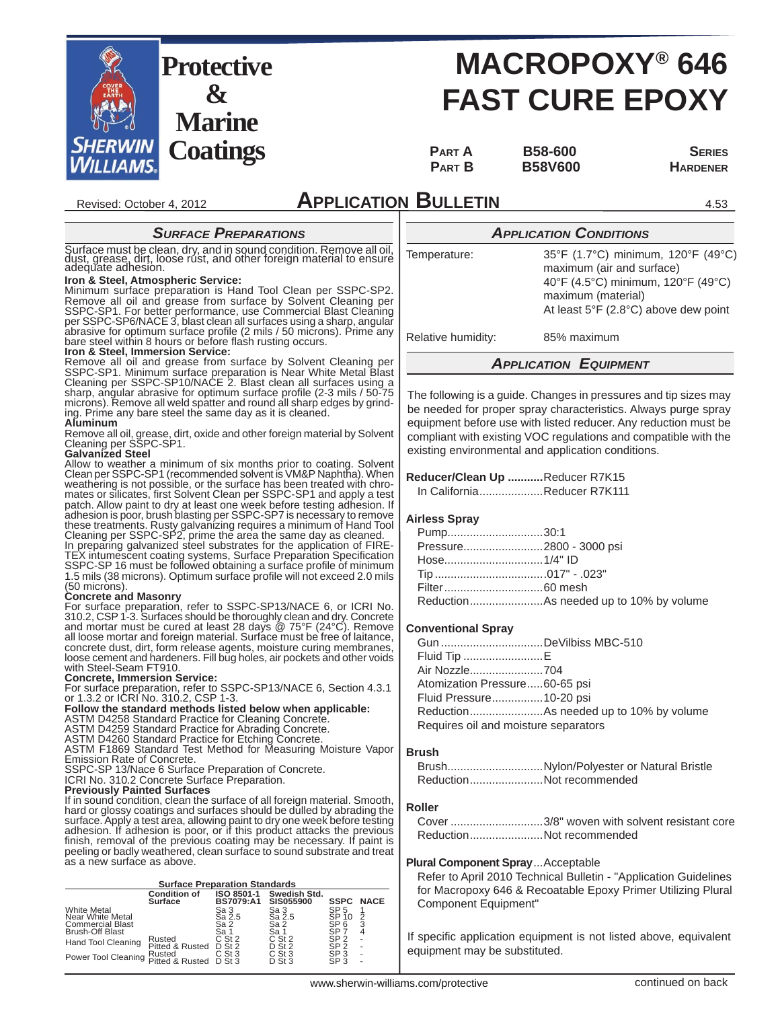

# **MACROPOXY® 646 FAST CURE EPOXY**

PART **A** B58-600 SERIES PART **B B58V600 HARDENER** 

4.53

### **APPLICATION BULLETIN**

#### *SURFACE PREPARATIONS*

Surface must be clean, dry, and in sound condition. Remove all oil, dust, grease, dirt, loose rust, and other foreign material to ensure adequate adhesion.

#### **Iron & Steel, Atmospheric Service:**

Revised: October 4, 2012

Minimum surface preparation is Hand Tool Clean per SSPC-SP2. Remove all oil and grease from surface by Solvent Cleaning per SSPC-SP1. For better performance, use Commercial Blast Cleaning<br>per SSPC-SP6/NACE 3, blast clean all surfaces using a sharp, angular<br>abrasive for optimum surface profile (2 mils / 50 microns). Prime any bare steel within 8 hours or before flash rusting occurs.<br>**Iron & Steel, Immersion Service:** 

Remove all oil and grease from surface by Solvent Cleaning per SSPC-SP1. Minimum surface preparation is Near White Metal Blast Cleaning per SSPC-SP10/NACE 2. Blast clean all surfaces using a sharp, angular abrasive for optimum surface profi le (2-3 mils / 50-75 microns). Remove all weld spatter and round all sharp edges by grind-ing. Prime any bare steel the same day as it is cleaned.

#### **Aluminum**

Remove all oil, grease, dirt, oxide and other foreign material by Solvent Cleaning per SSPC-SP1.

#### **Galvanized Steel**

Allow to weather a minimum of six months prior to coating. Solvent Clean per SSPC-SP1 (recommended solvent is VM&P Naphtha). When weathering is not possible, or the surface has been treated with chromates or silicates, first Solvent Clean per SSPC-SP1 and apply a test<br>patch. Allow paint to dry at least one week before testing adhesion. If<br>adhesion is poor, brush blasting per SSPC-SP7 is necessary to remove these treatments. Rusty galvanizing requires a minimum of Hand Tool<br>Cleaning per SSPC-SP2, prime the area the same day as cleaned.<br>In preparing galvanized steel substrates for the application of FIRE-<br>TEX intumescent coati

### (50 microns). **Concrete and Masonry**

For surface preparation, refer to SSPC-SP13/NACE 6, or ICRI No.<br>310.2, CSP 1-3. Surfaces should be thoroughly clean and dry. Concrete<br>and mortar must be cured at least 28 days @ 75°F (24°C). Remove<br>all loose mortar and for concrete dust, dirt, form release agents, moisture curing membranes, loose cement and hardeners. Fill bug holes, air pockets and other voids with Steel-Seam FT910.

#### **Concrete, Immersion Service:**

For surface preparation, refer to SSPC-SP13/NACE 6, Section 4.3.1 or 1.3.2 or ICRI No. 310.2, CSP 1-3.

# **Follow the standard methods listed below when applicable:** ASTM D4258 Standard Practice for Cleaning Concrete. ASTM D4259 Standard Practice for Abrading Concrete.

ASTM D4260 Standard Practice for Etching Concrete. ASTM F1869 Standard Test Method for Measuring Moisture Vapor

Emission Rate of Concrete.

SSPC-SP 13/Nace 6 Surface Preparation of Concrete. ICRI No. 310.2 Concrete Surface Preparation.

#### **Previously Painted Surfaces**

If in sound condition, clean the surface of all foreign material. Smooth, hard or glossy coatings and surfaces should be dulled by abrading the surface. Apply a test area, allowing paint to dry one week before testing<br>adhesion. If adhesion is poor, or if this product attacks the previous<br>finish, removal of the previous coating may be necessary. If paint is peeling or badly weathered, clean surface to sound substrate and treat as a new surface as above.

**Surface Preparation Standards**

| <u>oundoc't robaration olandards</u>                              |                                |                                |                                  |                                             |             |
|-------------------------------------------------------------------|--------------------------------|--------------------------------|----------------------------------|---------------------------------------------|-------------|
|                                                                   | <b>Condition of</b><br>Surface | ISO 8501-1<br><b>BS7079:A1</b> | Swedish Std.<br><b>SIS055900</b> | <b>SSPC</b>                                 | <b>NACE</b> |
| <b>White Metal</b><br>Near White Metal<br><b>Commercial Blast</b> |                                | Sa 3<br>Sa 2.5<br>Sa 2         | Sa 3<br>Sa 2.5<br>Sa 2           | SP <sub>5</sub><br>SP 10<br>SP <sub>6</sub> | 2<br>3      |
| <b>Brush-Off Blast</b>                                            |                                | Sa 1                           | Sa 1                             | SP <sub>7</sub>                             | 4           |
| Hand Tool Cleaning                                                | Rusted<br>Pitted & Rusted      | $C$ St 2<br>$D$ St 2           | $C$ St 2<br>$D$ St 2             | SP <sub>2</sub><br>SP <sub>2</sub>          | ٠<br>٠      |
| Power Tool Cleaning Pitted & Rusted                               |                                | $C$ St 3<br>$D$ St 3           | $C$ St 3<br>D St 3               | SP <sub>3</sub><br>SP <sub>3</sub>          | ٠<br>۰      |

| <b>APPLICATION CONDITIONS</b> |                                    |  |  |  |
|-------------------------------|------------------------------------|--|--|--|
| Temperature:                  | 35°F (1.7°C) minimum, 120°F (49°C) |  |  |  |

 maximum (air and surface) 40°F (4.5°C) minimum, 120°F (49°C) maximum (material) At least 5°F (2.8°C) above dew point

Relative humidity: 85% maximum

#### *APPLICATION EQUIPMENT*

The following is a guide. Changes in pressures and tip sizes may be needed for proper spray characteristics. Always purge spray equipment before use with listed reducer. Any reduction must be compliant with existing VOC regulations and compatible with the existing environmental and application conditions.

#### **Reducer/Clean Up ...........**Reducer R7K15

In California ....................Reducer R7K111

#### **Airless Spray**

| Pump30:1                |  |
|-------------------------|--|
| Pressure2800 - 3000 psi |  |
|                         |  |
|                         |  |
|                         |  |
|                         |  |
|                         |  |

#### **Conventional Spray**

| Gun DeVilbiss MBC-510                |  |
|--------------------------------------|--|
| Fluid Tip E                          |  |
| Air Nozzle704                        |  |
| Atomization Pressure60-65 psi        |  |
| Fluid Pressure10-20 psi              |  |
|                                      |  |
| Requires oil and moisture separators |  |
|                                      |  |

#### **Brush**

| BrushNylon/Polyester or Natural Bristle |
|-----------------------------------------|
| ReductionNot recommended                |

#### **Roller**

 Cover .............................3/8" woven with solvent resistant core Reduction .......................Not recommended

#### **Plural Component Spray** ...Acceptable

 Refer to April 2010 Technical Bulletin - "Application Guidelines for Macropoxy 646 & Recoatable Epoxy Primer Utilizing Plural Component Equipment"

If specific application equipment is not listed above, equivalent equipment may be substituted.